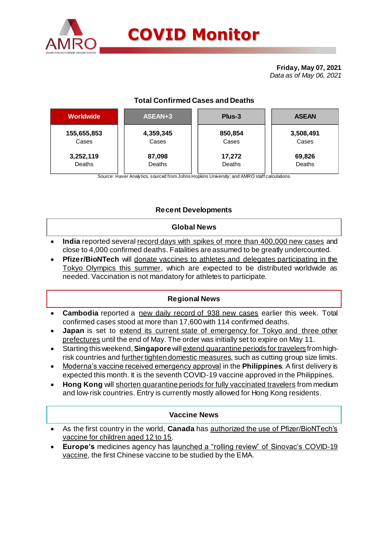

# **COVID Monitor**

**Friday, May 07, 2021** *Data as of May 06, 2021*

## **Total Confirmed Cases and Deaths**

| <b>Worldwide</b> | ASEAN+3   | Plus-3  | <b>ASEAN</b> |  |  |
|------------------|-----------|---------|--------------|--|--|
| 155,655,853      | 4,359,345 | 850,854 | 3,508,491    |  |  |
| Cases            | Cases     | Cases   | Cases        |  |  |
| 3,252,119        | 87,098    | 17,272  | 69,826       |  |  |
| Deaths           | Deaths    | Deaths  | Deaths       |  |  |
|                  |           |         |              |  |  |

Source: Haver Analytics, sourced from Johns Hopkins University; and AMRO staff calculations.

### **Recent Developments**

#### **Global News**

- **India** reported several record days with spikes of more than 400,000 new cases and close to 4,000 confirmed deaths. Fatalities are assumed to be greatly undercounted.
- **Pfizer/BioNTech** will donate vaccines to athletes and delegates participating in the Tokyo Olympics this summer, which are expected to be distributed worldwide as needed. Vaccination is not mandatory for athletes to participate.

#### **Regional News**

- **Cambodia** reported a new daily record of 938 new cases earlier this week. Total confirmed cases stood at more than 17,600 with 114 confirmed deaths.
- **Japan** is set to extend its current state of emergency for Tokyo and three other prefectures until the end of May. The order was initially set to expire on May 11.
- Starting this weekend, **Singapore** will extend quarantine periods for travelers from highrisk countries and further tighten domestic measures, such as cutting group size limits.
- Moderna's vaccine received emergency approval in the **Philippines**. A first delivery is expected this month. It is the seventh COVID-19 vaccine approved in the Philippines.
- **Hong Kong** will shorten quarantine periods for fully vaccinated travelers from medium and low-risk countries. Entry is currently mostly allowed for Hong Kong residents.

#### **Vaccine News**

- As the first country in the world, **Canada** has authorized the use of Pfizer/BioNTech's vaccine for children aged 12 to 15.
- **Europe's** medicines agency has launched a "rolling review" of Sinovac's COVID-19 vaccine, the first Chinese vaccine to be studied by the EMA.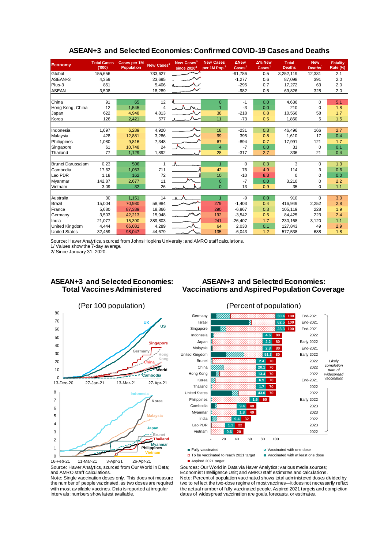| <b>Economy</b>       | <b>Total Cases</b><br>(000) | <b>Cases per 1M</b><br><b>Population</b> | New Cases <sup>1</sup> | New Cases <sup>1</sup><br>since $2020^2$ | <b>New Cases</b><br>per 1M Pop. <sup>1</sup> | <b>ANew</b><br>$\overline{\text{Cases}}^1$ | $\Delta$ % New<br>$\text{Case} \text{s}^1$ | <b>Total</b><br><b>Deaths</b> | <b>New</b><br>Deaths <sup>1</sup> | <b>Fatality</b><br>Rate (%) |
|----------------------|-----------------------------|------------------------------------------|------------------------|------------------------------------------|----------------------------------------------|--------------------------------------------|--------------------------------------------|-------------------------------|-----------------------------------|-----------------------------|
| Global               | 155,656                     |                                          | 733,627                |                                          |                                              | $-91,786$                                  | 0.5                                        | 3,252,119                     | 12,331                            | 2.1                         |
| ASEAN+3              | 4,359                       |                                          | 23,695                 |                                          |                                              | $-1,277$                                   | 0.6                                        | 87.098                        | 391                               | 2.0                         |
| Plus-3               | 851                         |                                          | 5,406                  |                                          |                                              | $-295$                                     | 0.7                                        | 17,272                        | 63                                | 2.0                         |
| <b>ASEAN</b>         | 3,508                       |                                          | 18,289                 |                                          |                                              | $-982$                                     | 0.5                                        | 69,826                        | 328                               | 2.0                         |
|                      |                             |                                          |                        |                                          |                                              |                                            |                                            |                               |                                   |                             |
| China                | 91                          | 65                                       | 12                     |                                          | $\overline{0}$                               | -1                                         | 0.0                                        | 4,636                         | $\Omega$                          | 5.1                         |
| Hong Kong, China     | 12                          | 1,545                                    | 4                      |                                          | $\overline{1}$                               | $-3$                                       | 0.0                                        | 210                           | $\mathbf 0$                       | 1.8                         |
| Japan                | 622                         | 4,948                                    | 4,813                  |                                          | 38                                           | $-218$                                     | 0.8                                        | 10,566                        | 58                                | 1.7                         |
| Korea                | 126                         | 2,421                                    | 577                    |                                          | 11                                           | $-73$                                      | 0.5                                        | 1,860                         | 5                                 | 1.5                         |
|                      |                             |                                          |                        |                                          |                                              |                                            |                                            |                               |                                   |                             |
| Indonesia            | 1,697                       | 6,289                                    | 4,920                  |                                          | 18                                           | $-231$                                     | 0.3                                        | 46,496                        | 166                               | 2.7                         |
| Malaysia             | 428                         | 12,881                                   | 3,286                  |                                          | 99                                           | 395                                        | 0.8                                        | 1,610                         | 17                                | 0.4                         |
| Philippines          | 1,080                       | 9,816                                    | 7,348                  |                                          | 67                                           | $-894$                                     | 0.7                                        | 17,991                        | 121                               | 1.7                         |
| Singapore            | 61                          | 10,748                                   | 24                     |                                          | $\overline{4}$                               | $-7$                                       | 0.0                                        | 31                            | $\Omega$                          | 0.1                         |
| Thailand             | 77                          | 1,129                                    | 1,892                  |                                          | 28                                           | $-317$                                     | 2.7                                        | 336                           | 21                                | 0.4                         |
|                      |                             |                                          |                        |                                          |                                              |                                            |                                            |                               |                                   |                             |
| Brunei Darussalam    | 0.23                        | 506                                      | 1                      |                                          | $\overline{1}$                               | $\mathbf 0$                                | 0.3                                        | 3                             | 0                                 | 1.3                         |
| Cambodia             | 17.62                       | 1,053                                    | 711                    |                                          | 42                                           | 76                                         | 4.9                                        | 114                           | 3                                 | 0.6                         |
| Lao PDR              | 1.18                        | 162                                      | 72                     |                                          | 10                                           | $-10$                                      | 8.3                                        | $\Omega$                      | $\Omega$                          | 0.0                         |
| Myanmar              | 142.87                      | 2,677                                    | 11                     |                                          | $\overline{0}$                               | $-7$                                       | 0.0                                        | 3,210                         | 0                                 | 2.2                         |
| Vietnam              | 3.09                        | 32                                       | 26                     |                                          | $\Omega$                                     | 13                                         | 0.9                                        | 35                            | $\Omega$                          | 1.1                         |
|                      |                             |                                          |                        |                                          |                                              |                                            |                                            |                               |                                   |                             |
| Australia            | 30                          | 1,151                                    | 14                     | $\Lambda$                                | $\overline{1}$                               | -9                                         | 0.0                                        | 910                           | $\Omega$                          | 3.0                         |
| Brazil               | 15,004                      | 70,980                                   | 58,984                 |                                          | 279                                          | $-1,403$                                   | 0.4                                        | 416,949                       | 2,252                             | 2.8                         |
| France               | 5,680                       | 87,389                                   | 18,866                 |                                          | 290                                          | $-6.867$                                   | 0.3                                        | 105.119                       | 228                               | 1.9                         |
| Germany              | 3,503                       | 42,213                                   | 15,948                 |                                          | 192                                          | $-3,542$                                   | 0.5                                        | 84,425                        | 223                               | 2.4                         |
| India                | 21,077                      | 15,390                                   | 389,803                |                                          | 241                                          | $-26,407$                                  | 1.7                                        | 230.168                       | 3,120                             | 1.1                         |
| United Kingdom       | 4,444                       | 66,081                                   | 4,289                  |                                          | 64                                           | 2,030                                      | 0.1                                        | 127,843                       | 49                                | 2.9                         |
| <b>United States</b> | 32,459                      | 98,047                                   | 44,679                 |                                          | 135                                          | $-6,043$                                   | 1.2                                        | 577,538                       | 688                               | 1.8                         |

#### **ASEAN+3 and Selected Economies: Confirmed COVID-19 Cases and Deaths**

Source: Haver Analytics, sourced from Johns Hopkins University; and AMRO staff calculations.

1/ Values show the 7-day average.

2/ Since January 31, 2020.

#### **ASEAN+3 and Selected Economies: Total Vaccines Administered**

#### **ASEAN+3 and Selected Economies: Vaccinations and Aspired Population Coverage**



Source: Haver Analytics, sourced from Our World in Data; and AMRO staff calculations.

Note: Single vaccination doses only. This does not measure the number of people vaccinated, as two doses are required with most av ailable vaccines. Data is reported at irregular interv als; numbers show latest available.



□ To be vaccinated to reach 2021 target ■ Vaccinated with at least one dose

Aspired 2021 target

Sources: Our World in Data via Haver Analytics; various media sources; Economist Intelligence Unit; and AMRO staff estimates and calculations. Note: Percent of population vaccinated shows total administered doses divided by two to ref lect the two-dose regime of most vaccines—it does not necessarily reflect the actual number of fully vaccinated people. Aspired 2021 targets and completion dates of widespread vaccination are goals, forecasts, or estimates.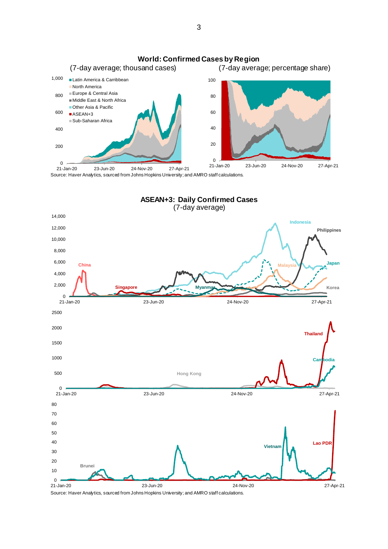

Source: Haver Analytics, sourced from Johns Hopkins University; and AMRO staff calculations.



Source: Haver Analytics, sourced from Johns Hopkins University; and AMRO staff calculations.

3